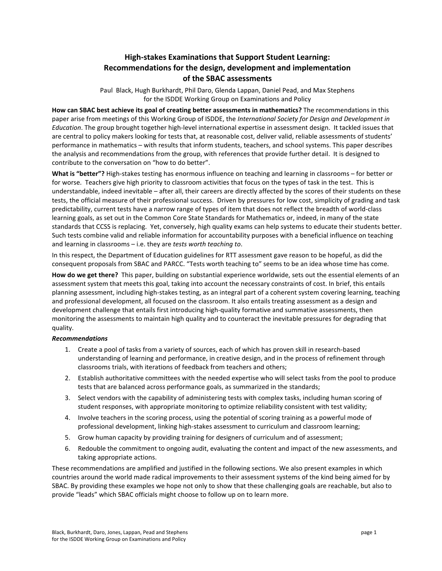## **High-stakes Examinations that Support Student Learning:** Recommendations for the design, development and implementation **of!the!SBAC!assessments**

Paul Black, Hugh Burkhardt, Phil Daro, Glenda Lappan, Daniel Pead, and Max Stephens for the ISDDE Working Group on Examinations and Policy

How can SBAC best achieve its goal of creating better assessments in mathematics? The recommendations in this paper arise from meetings of this Working Group of ISDDE, the *International Society for Design and Development in Education*. The group brought together high-level international expertise in assessment design. It tackled issues that are central to policy makers looking for tests that, at reasonable cost, deliver valid, reliable assessments of students' performance in mathematics – with results that inform students, teachers, and school systems. This paper describes the analysis and recommendations from the group, with references that provide further detail. It is designed to contribute to the conversation on "how to do better".

What is "better"? High-stakes testing has enormous influence on teaching and learning in classrooms – for better or for worse. Teachers give high priority to classroom activities that focus on the types of task in the test. This is understandable, indeed inevitable – after all, their careers are directly affected by the scores of their students on these tests, the official measure of their professional success. Driven by pressures for low cost, simplicity of grading and task predictability, current tests have a narrow range of types of item that does not reflect the breadth of world-class learning goals, as set out in the Common Core State Standards for Mathematics or, indeed, in many of the state standards that CCSS is replacing. Yet, conversely, high quality exams can help systems to educate their students better. Such tests combine valid and reliable information for accountability purposes with a beneficial influence on teaching and learning in classrooms – i.e. they are *tests worth teaching to*.

In this respect, the Department of Education guidelines for RTT assessment gave reason to be hopeful, as did the consequent proposals from SBAC and PARCC. "Tests worth teaching to" seems to be an idea whose time has come.

How do we get there? This paper, building on substantial experience worldwide, sets out the essential elements of an assessment system that meets this goal, taking into account the necessary constraints of cost. In brief, this entails planning assessment, including high-stakes testing, as an integral part of a coherent system covering learning, teaching and professional development, all focused on the classroom. It also entails treating assessment as a design and development challenge that entails first introducing high-quality formative and summative assessments, then monitoring the assessments to maintain high quality and to counteract the inevitable pressures for degrading that quality.

#### *Recommendations*

- 1. Create a pool of tasks from a variety of sources, each of which has proven skill in research-based understanding of learning and performance, in creative design, and in the process of refinement through classrooms trials, with iterations of feedback from teachers and others;
- 2. Establish authoritative committees with the needed expertise who will select tasks from the pool to produce tests that are balanced across performance goals, as summarized in the standards;
- 3. Select vendors with the capability of administering tests with complex tasks, including human scoring of student responses, with appropriate monitoring to optimize reliability consistent with test validity;
- 4. Involve teachers in the scoring process, using the potential of scoring training as a powerful mode of professional development, linking high-stakes assessment to curriculum and classroom learning;
- 5. Grow human capacity by providing training for designers of curriculum and of assessment;
- 6. Redouble the commitment to ongoing audit, evaluating the content and impact of the new assessments, and taking appropriate actions.

These recommendations are amplified and justified in the following sections. We also present examples in which countries around the world made radical improvements to their assessment systems of the kind being aimed for by SBAC. By providing these examples we hope not only to show that these challenging goals are reachable, but also to provide "leads" which SBAC officials might choose to follow up on to learn more.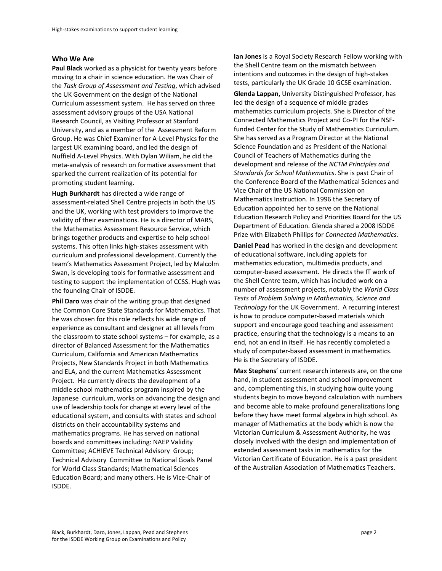#### **Who!We!Are**

Paul Black worked as a physicist for twenty years before moving to a chair in science education. He was Chair of the *Task Group of Assessment and Testing*, which advised the UK Government on the design of the National Curriculum assessment system. He has served on three assessment advisory groups of the USA National Research Council, as Visiting Professor at Stanford University, and as a member of the Assessment Reform Group. He was Chief Examiner for A-Level Physics for the largest UK examining board, and led the design of Nuffield A-Level Physics. With Dylan Wiliam, he did the meta-analysis of research on formative assessment that sparked the current realization of its potential for promoting student learning.

**Hugh Burkhardt** has directed a wide range of assessment-related Shell Centre projects in both the US and the UK, working with test providers to improve the validity of their examinations. He is a director of MARS, the Mathematics Assessment Resource Service, which brings together products and expertise to help school systems. This often links high-stakes assessment with curriculum and professional development. Currently the team's Mathematics Assessment Project, led by Malcolm Swan, is developing tools for formative assessment and testing to support the implementation of CCSS. Hugh was the founding Chair of ISDDE.

Phil Daro was chair of the writing group that designed the Common Core State Standards for Mathematics. That he was chosen for this role reflects his wide range of experience as consultant and designer at all levels from the classroom to state school systems  $-$  for example, as a director of Balanced Assessment for the Mathematics Curriculum, California and American Mathematics Projects, New Standards Project in both Mathematics and ELA, and the current Mathematics Assessment Project. He currently directs the development of a middle school mathematics program inspired by the Japanese curriculum, works on advancing the design and use of leadership tools for change at every level of the educational system, and consults with states and school districts on their accountability systems and mathematics programs. He has served on national boards and committees including: NAEP Validity Committee; ACHIEVE Technical Advisory Group; Technical Advisory Committee to National Goals Panel for World Class Standards; Mathematical Sciences Education Board; and many others. He is Vice-Chair of ISDDE.!

**Ian Jones** is a Royal Society Research Fellow working with the Shell Centre team on the mismatch between intentions and outcomes in the design of high-stakes tests, particularly the UK Grade 10 GCSE examination.

**Glenda Lappan, University Distinguished Professor, has** led the design of a sequence of middle grades mathematics curriculum projects. She is Director of the Connected Mathematics Project and Co-PI for the NSFfunded Center for the Study of Mathematics Curriculum. She has served as a Program Director at the National Science Foundation and as President of the National Council of Teachers of Mathematics during the development and release of the *NCTM Principles and Standards for School Mathematics. She is past Chair of* the Conference Board of the Mathematical Sciences and Vice Chair of the US National Commission on Mathematics Instruction. In 1996 the Secretary of Education appointed her to serve on the National Education Research Policy and Priorities Board for the US Department of Education. Glenda shared a 2008 ISDDE Prize with Elizabeth Phillips for *Connected Mathematics*.

**Daniel Pead** has worked in the design and development of educational software, including applets for mathematics education, multimedia products, and computer-based assessment. He directs the IT work of the Shell Centre team, which has included work on a number of assessment projects, notably the *World Class Tests*!of!*Problem\*Solving\*in\*Mathematics,\*Science\*and\** Technology for the UK Government. A recurring interest is how to produce computer-based materials which support and encourage good teaching and assessment practice, ensuring that the technology is a means to an end, not an end in itself. He has recently completed a study of computer-based assessment in mathematics. He is the Secretary of ISDDE.

**Max Stephens'** current research interests are, on the one hand, in student assessment and school improvement and, complementing this, in studying how quite young students begin to move beyond calculation with numbers and become able to make profound generalizations long before they have meet formal algebra in high school. As manager of Mathematics at the body which is now the Victorian Curriculum & Assessment Authority, he was closely involved with the design and implementation of extended assessment tasks in mathematics for the Victorian Certificate of Education. He is a past president of the Australian Association of Mathematics Teachers.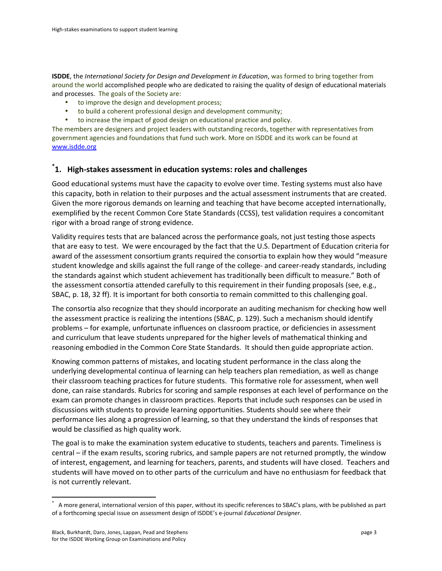**ISDDE**, the *International Society for Design and Development in Education*, was formed to bring together from around the world accomplished people who are dedicated to raising the quality of design of educational materials and processes. The goals of the Society are:

- to improve the design and development process;
- to build a coherent professional design and development community;
- to increase the impact of good design on educational practice and policy.

The members are designers and project leaders with outstanding records, together with representatives from government agencies and foundations that fund such work. More on ISDDE and its work can be found at www.isdde.org

# \*1. High-stakes assessment in education systems: roles and challenges

Good educational systems must have the capacity to evolve over time. Testing systems must also have this capacity, both in relation to their purposes and the actual assessment instruments that are created. Given the more rigorous demands on learning and teaching that have become accepted internationally, exemplified by the recent Common Core State Standards (CCSS), test validation requires a concomitant rigor with a broad range of strong evidence.

Validity requires tests that are balanced across the performance goals, not just testing those aspects that are easy to test. We were encouraged by the fact that the U.S. Department of Education criteria for award of the assessment consortium grants required the consortia to explain how they would "measure" student knowledge and skills against the full range of the college- and career-ready standards, including the standards against which student achievement has traditionally been difficult to measure." Both of the assessment consortia attended carefully to this requirement in their funding proposals (see, e.g., SBAC, p. 18, 32 ff). It is important for both consortia to remain committed to this challenging goal.

The consortia also recognize that they should incorporate an auditing mechanism for checking how well the assessment practice is realizing the intentions (SBAC, p. 129). Such a mechanism should identify problems – for example, unfortunate influences on classroom practice, or deficiencies in assessment and curriculum that leave students unprepared for the higher levels of mathematical thinking and reasoning embodied in the Common Core State Standards. It should then guide appropriate action.

Knowing common patterns of mistakes, and locating student performance in the class along the underlying developmental continua of learning can help teachers plan remediation, as well as change their classroom teaching practices for future students. This formative role for assessment, when well done, can raise standards. Rubrics for scoring and sample responses at each level of performance on the exam can promote changes in classroom practices. Reports that include such responses can be used in discussions with students to provide learning opportunities. Students should see where their performance lies along a progression of learning, so that they understand the kinds of responses that would be classified as high quality work.

The goal is to make the examination system educative to students, teachers and parents. Timeliness is central – if the exam results, scoring rubrics, and sample papers are not returned promptly, the window of interest, engagement, and learning for teachers, parents, and students will have closed. Teachers and students will have moved on to other parts of the curriculum and have no enthusiasm for feedback that is not currently relevant.

entived to the server all the mational version.<br>This paper, with the serveral, international version of this paper, without its specific references to SBAC's plans, with be published as part \* \* \* \* \* \* \* \* \* \* \* \* \* \* \* \* of a forthcoming special issue on assessment design of ISDDE's e-journal *Educational Designer*.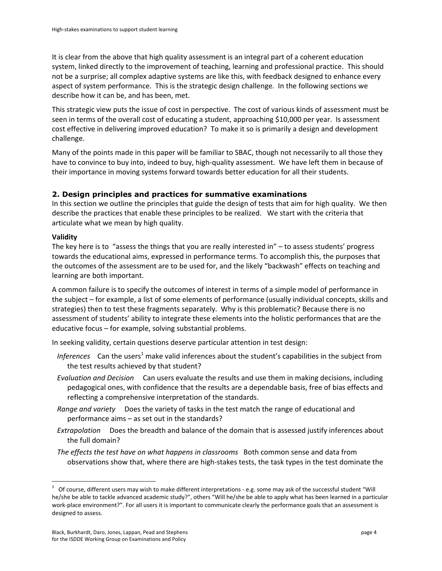It is clear from the above that high quality assessment is an integral part of a coherent education system, linked directly to the improvement of teaching, learning and professional practice. This should not be a surprise; all complex adaptive systems are like this, with feedback designed to enhance every aspect of system performance. This is the strategic design challenge. In the following sections we describe how it can be, and has been, met.

This strategic view puts the issue of cost in perspective. The cost of various kinds of assessment must be seen in terms of the overall cost of educating a student, approaching \$10,000 per year. Is assessment cost effective in delivering improved education? To make it so is primarily a design and development challenge.

Many of the points made in this paper will be familiar to SBAC, though not necessarily to all those they have to convince to buy into, indeed to buy, high-quality assessment. We have left them in because of their importance in moving systems forward towards better education for all their students.

## **2. Design principles and practices for summative examinations**

In this section we outline the principles that guide the design of tests that aim for high quality. We then describe the practices that enable these principles to be realized. We start with the criteria that articulate what we mean by high quality.

### **Validity**

The key here is to "assess the things that you are really interested in"  $-$  to assess students' progress towards the educational aims, expressed in performance terms. To accomplish this, the purposes that the outcomes of the assessment are to be used for, and the likely "backwash" effects on teaching and learning are both important.

A common failure is to specify the outcomes of interest in terms of a simple model of performance in the subject – for example, a list of some elements of performance (usually individual concepts, skills and strategies) then to test these fragments separately. Why is this problematic? Because there is no assessment of students' ability to integrate these elements into the holistic performances that are the educative focus – for example, solving substantial problems.

In seeking validity, certain questions deserve particular attention in test design:

- *Inferences* Can the users<sup>1</sup> make valid inferences about the student's capabilities in the subject from the test results achieved by that student?
- *Evaluation and Decision* Can users evaluate the results and use them in making decisions, including pedagogical ones, with confidence that the results are a dependable basis, free of bias effects and reflecting a comprehensive interpretation of the standards.
- *Range and variety* Does the variety of tasks in the test match the range of educational and performance aims  $-$  as set out in the standards?
- *Extrapolation* Does the breadth and balance of the domain that is assessed justify inferences about the full domain?
- The effects the test have on what happens in classrooms Both common sense and data from observations show that, where there are high-stakes tests, the task types in the test dominate the

ender the United States of the United States and the United States of the successful student "Will"<br>The fourse, different users may wish to make different interpretations - e.g. some may ask of the successful student "Will he/she be able to tackle advanced academic study?", others "Will he/she be able to apply what has been learned in a particular work-place environment?". For all users it is important to communicate clearly the performance goals that an assessment is designed to assess.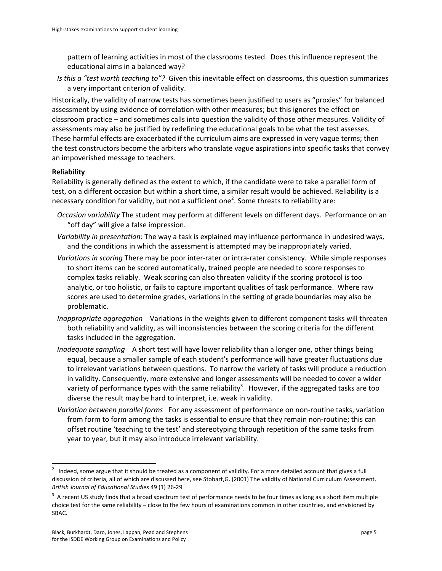pattern of learning activities in most of the classrooms tested. Does this influence represent the educational aims in a balanced way?

*Is this a "test worth teaching to"?* Given this inevitable effect on classrooms, this question summarizes a very important criterion of validity.

Historically, the validity of narrow tests has sometimes been justified to users as "proxies" for balanced assessment by using evidence of correlation with other measures; but this ignores the effect on classroom practice – and sometimes calls into question the validity of those other measures. Validity of assessments may also be justified by redefining the educational goals to be what the test assesses. These harmful effects are exacerbated if the curriculum aims are expressed in very vague terms; then the test constructors become the arbiters who translate vague aspirations into specific tasks that convey an impoverished message to teachers.

#### **Reliability**

Reliability is generally defined as the extent to which, if the candidate were to take a parallel form of test, on a different occasion but within a short time, a similar result would be achieved. Reliability is a necessary condition for validity, but not a sufficient one<sup>2</sup>. Some threats to reliability are:

- *Occasion variability* The student may perform at different levels on different days. Performance on an " off day" will give a false impression.
- Variability in presentation: The way a task is explained may influence performance in undesired ways, and the conditions in which the assessment is attempted may be inappropriately varied.
- Variations in scoring There may be poor inter-rater or intra-rater consistency. While simple responses to short items can be scored automatically, trained people are needed to score responses to complex tasks reliably. Weak scoring can also threaten validity if the scoring protocol is too analytic, or too holistic, or fails to capture important qualities of task performance. Where raw scores are used to determine grades, variations in the setting of grade boundaries may also be problematic.
- *Inappropriate aggregation* Variations in the weights given to different component tasks will threaten both reliability and validity, as will inconsistencies between the scoring criteria for the different tasks included in the aggregation.
- *Inadequate sampling* A short test will have lower reliability than a longer one, other things being equal, because a smaller sample of each student's performance will have greater fluctuations due to irrelevant variations between questions. To narrow the variety of tasks will produce a reduction in validity. Consequently, more extensive and longer assessments will be needed to cover a wider variety of performance types with the same reliability<sup>3</sup>. However, if the aggregated tasks are too diverse the result may be hard to interpret, i.e. weak in validity.
- Variation between parallel forms For any assessment of performance on non-routine tasks, variation from form to form among the tasks is essential to ensure that they remain non-routine; this can offset routine 'teaching to the test' and stereotyping through repetition of the same tasks from year to year, but it may also introduce irrelevant variability.

ended and the same argue that it should be treated as a component of validity. For a more detailed account that gives a full<br><sup>2</sup> Indeed, some argue that it should be treated as a component of validity. For a more detailed discussion of criteria, all of which are discussed here, see Stobart,G. (2001) The validity of National Curriculum Assessment. British Journal of Educational Studies 49 (1) 26-29

 $3$  A recent US study finds that a broad spectrum test of performance needs to be four times as long as a short item multiple choice test for the same reliability – close to the few hours of examinations common in other countries, and envisioned by SBAC.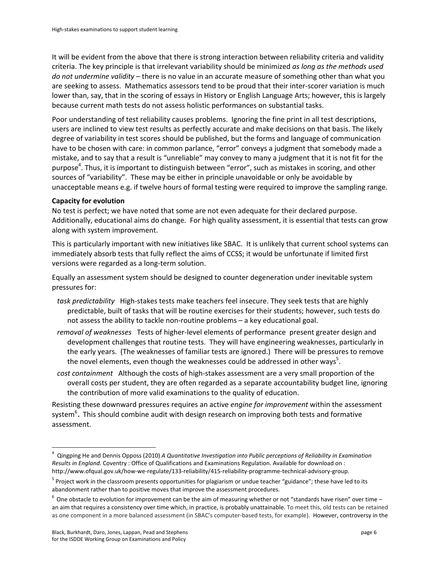It will be evident from the above that there is strong interaction between reliability criteria and validity criteria. The key principle is that irrelevant variability should be minimized as long as the methods used *do not undermine validity* – there is no value in an accurate measure of something other than what you are seeking to assess. Mathematics assessors tend to be proud that their inter-scorer variation is much lower than, say, that in the scoring of essays in History or English Language Arts; however, this is largely because current math tests do not assess holistic performances on substantial tasks.

Poor understanding of test reliability causes problems. Ignoring the fine print in all test descriptions, users are inclined to view test results as perfectly accurate and make decisions on that basis. The likely degree of variability in test scores should be published, but the forms and language of communication have to be chosen with care: in common parlance, "error" conveys a judgment that somebody made a mistake, and to say that a result is "unreliable" may convey to many a judgment that it is not fit for the purpose<sup>4</sup>. Thus, it is important to distinguish between "error", such as mistakes in scoring, and other sources of "variability". These may be either in principle unavoidable or only be avoidable by unacceptable means e.g. if twelve hours of formal testing were required to improve the sampling range.

#### **Capacity for evolution**

No test is perfect; we have noted that some are not even adequate for their declared purpose. Additionally, educational aims do change. For high quality assessment, it is essential that tests can grow along with system improvement.

This is particularly important with new initiatives like SBAC. It is unlikely that current school systems can immediately absorb tests that fully reflect the aims of CCSS; it would be unfortunate if limited first versions were regarded as a long-term solution.

Equally an assessment system should be designed to counter degeneration under inevitable system pressures for:

- task predictability High-stakes tests make teachers feel insecure. They seek tests that are highly predictable, built of tasks that will be routine exercises for their students; however, such tests do not assess the ability to tackle non-routine problems  $-$  a key educational goal.
- *removal of weaknesses* Tests of higher-level elements of performance present greater design and development challenges that routine tests. They will have engineering weaknesses, particularly in the early years. (The weaknesses of familiar tests are ignored.) There will be pressures to remove the novel elements, even though the weaknesses could be addressed in other ways<sup>5</sup>.
- *cost containment* Although the costs of high-stakes assessment are a very small proportion of the overall costs per student, they are often regarded as a separate accountability budget line, ignoring the contribution of more valid examinations to the quality of education.

Resisting these downward pressures requires an active *engine for improvement* within the assessment system<sup>6</sup>. This should combine audit with design research on improving both tests and formative assessment.

enderander and Dennis Opposs (2010) *A Quantitative Investigation into Public perceptions of Reliability in Examination*<br><sup>4</sup> Qingping He and Dennis Opposs (2010) *A Quantitative Investigation into Public perceptions of Rel* Results in England. Coventry : Office of Qualifications and Examinations Regulation. Available for download on : http://www.ofqual.gov.uk/how-we-regulate/133-reliability/415-reliability-programme-technical-advisory-group.

<sup>&</sup>lt;sup>5</sup> Project work in the classroom presents opportunities for plagiarism or undue teacher "guidance"; these have led to its abandonment rather than to positive moves that improve the assessment procedures.

 $6$  One obstacle to evolution for improvement can be the aim of measuring whether or not "standards have risen" over time – an aim that requires a consistency over time which, in practice, is probably unattainable. To meet this, old tests can be retained as one component in a more balanced assessment (in SBAC's computer-based tests, for example). However, controversy in the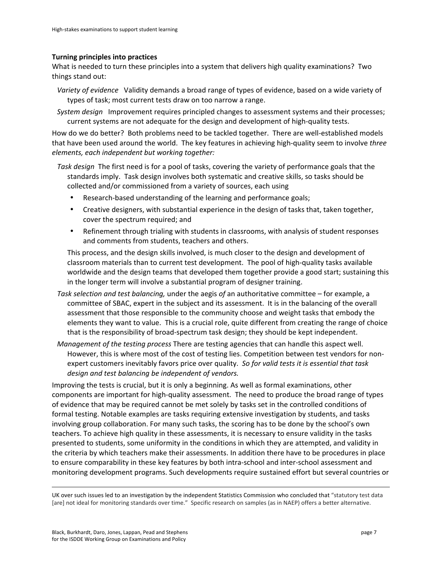#### **Turning principles into practices**

What is needed to turn these principles into a system that delivers high quality examinations? Two things stand out:

- *Variety of evidence* Validity demands a broad range of types of evidence, based on a wide variety of types of task; most current tests draw on too narrow a range.
- *System design* Improvement requires principled changes to assessment systems and their processes; current systems are not adequate for the design and development of high-quality tests.

How do we do better? Both problems need to be tackled together. There are well-established models that have been used around the world. The key features in achieving high-quality seem to involve three *elements, each independent but working together:* 

- Task design The first need is for a pool of tasks, covering the variety of performance goals that the standards imply. Task design involves both systematic and creative skills, so tasks should be collected and/or commissioned from a variety of sources, each using
	- Research-based understanding of the learning and performance goals;
	- Creative designers, with substantial experience in the design of tasks that, taken together, cover the spectrum required; and
	- Refinement through trialing with students in classrooms, with analysis of student responses and comments from students, teachers and others.

This process, and the design skills involved, is much closer to the design and development of classroom materials than to current test development. The pool of high-quality tasks available worldwide and the design teams that developed them together provide a good start; sustaining this in the longer term will involve a substantial program of designer training.

- Task selection and test balancing, under the aegis of an authoritative committee for example, a committee of SBAC, expert in the subject and its assessment. It is in the balancing of the overall assessment that those responsible to the community choose and weight tasks that embody the elements they want to value. This is a crucial role, quite different from creating the range of choice that is the responsibility of broad-spectrum task design; they should be kept independent.
- *Management of the testing process* There are testing agencies that can handle this aspect well. However, this is where most of the cost of testing lies. Competition between test vendors for nonexpert customers inevitably favors price over quality. So for valid tests it is essential that task design and test balancing be independent of vendors.

Improving the tests is crucial, but it is only a beginning. As well as formal examinations, other components are important for high-quality assessment. The need to produce the broad range of types of evidence that may be required cannot be met solely by tasks set in the controlled conditions of formal testing. Notable examples are tasks requiring extensive investigation by students, and tasks involving group collaboration. For many such tasks, the scoring has to be done by the school's own teachers. To achieve high quality in these assessments, it is necessary to ensure validity in the tasks presented to students, some uniformity in the conditions in which they are attempted, and validity in the criteria by which teachers make their assessments. In addition there have to be procedures in place to ensure comparability in these key features by both intra-school and inter-school assessment and monitoring development programs. Such developments require sustained effort but several countries or

UK over such issues led to an investigation by the independent Statistics Commission who concluded that "statutory test data [are] not ideal for monitoring standards over time." Specific research on samples (as in NAEP) offers a better alternative.

!!!!!!!!!!!!!!!!!!!!!!!!!!!!!!!!!!!!!!!!!!!!!!!!!!!!!!!!!!!!!!!!!!!!!!!!!!!!!!!!!!!!!!!!!!!!!!!!!!!!!!!!!!!!!!!!!!!!!!!!!!!!!!!!!!!!!!!!!!!!!!!!!!!!!!!!!!!!!!!!!!!!!!!!!!!!!!!!!!!!!!!!!!!!!!!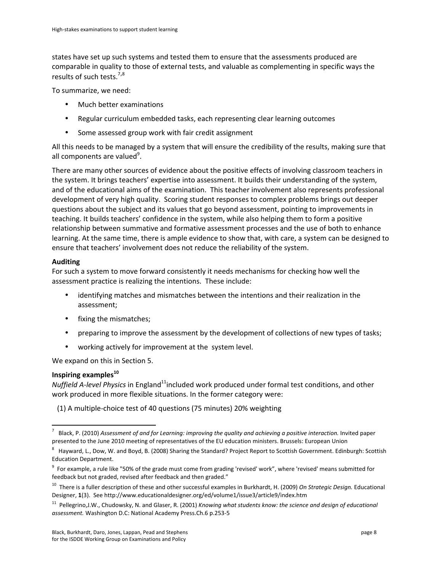states have set up such systems and tested them to ensure that the assessments produced are comparable in quality to those of external tests, and valuable as complementing in specific ways the results of such tests. $7,8$ 

To summarize, we need:

- Much better examinations
- Regular curriculum embedded tasks, each representing clear learning outcomes
- Some assessed group work with fair credit assignment

All this needs to be managed by a system that will ensure the credibility of the results, making sure that all components are valued<sup>9</sup>.

There are many other sources of evidence about the positive effects of involving classroom teachers in the system. It brings teachers' expertise into assessment. It builds their understanding of the system, and of the educational aims of the examination. This teacher involvement also represents professional development of very high quality. Scoring student responses to complex problems brings out deeper questions about the subject and its values that go beyond assessment, pointing to improvements in teaching. It builds teachers' confidence in the system, while also helping them to form a positive relationship between summative and formative assessment processes and the use of both to enhance learning. At the same time, there is ample evidence to show that, with care, a system can be designed to ensure that teachers' involvement does not reduce the reliability of the system.

### **Auditing**

For such a system to move forward consistently it needs mechanisms for checking how well the assessment practice is realizing the intentions. These include:

- identifying matches and mismatches between the intentions and their realization in the assessment;
- fixing the mismatches;
- preparing to improve the assessment by the development of collections of new types of tasks;
- working actively for improvement at the system level.

We expand on this in Section 5.

### **Inspiring examples**<sup>10</sup>

*Nuffield A-level Physics* in England<sup>11</sup>included work produced under formal test conditions, and other work produced in more flexible situations. In the former category were:

(1) A multiple-choice test of 40 questions (75 minutes) 20% weighting

ender .<br>In Black, P. (2010) *Assessment of and for Learning: improving the quality and achieving a positive interaction.* Invited paper presented to the June 2010 meeting of representatives of the EU education ministers. Brussels: European Union

 $^8$  Hayward, L., Dow, W. and Boyd, B. (2008) Sharing the Standard? Project Report to Scottish Government. Edinburgh: Scottish Education Department.

 $^9$  For example, a rule like "50% of the grade must come from grading 'revised' work", where 'revised' means submitted for feedback but not graded, revised after feedback and then graded."

<sup>&</sup>lt;sup>10</sup> There is a fuller description of these and other successful examples in Burkhardt, H. (2009) On Strategic Design. Educational Designer, 1(3). See http://www.educationaldesigner.org/ed/volume1/issue3/article9/index.htm

<sup>&</sup>lt;sup>11</sup> Pellegrino,J.W., Chudowsky, N. and Glaser, R. (2001) *Knowing what students know: the science and design of educational* assessment. Washington D.C: National Academy Press.Ch.6 p.253-5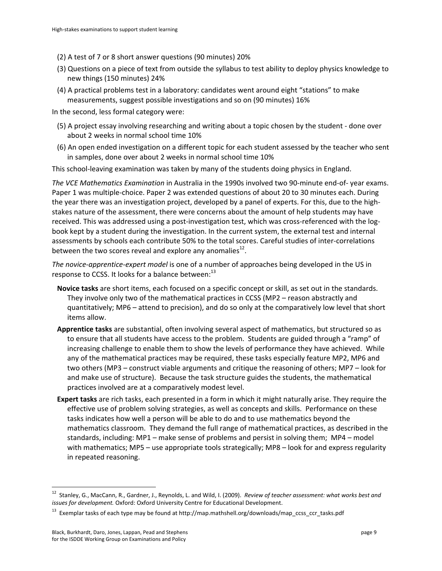- (2) A test of 7 or 8 short answer questions (90 minutes) 20%
- (3) Questions on a piece of text from outside the syllabus to test ability to deploy physics knowledge to new things (150 minutes) 24%
- (4) A practical problems test in a laboratory: candidates went around eight "stations" to make measurements, suggest possible investigations and so on (90 minutes) 16%

In the second, less formal category were:

- (5) A project essay involving researching and writing about a topic chosen by the student done over about 2 weeks in normal school time 10%
- (6) An open ended investigation on a different topic for each student assessed by the teacher who sent in samples, done over about 2 weeks in normal school time 10%

This school-leaving examination was taken by many of the students doing physics in England.

*The VCE Mathematics Examination* in Australia in the 1990s involved two 90-minute end-of-year exams. Paper 1 was multiple-choice. Paper 2 was extended questions of about 20 to 30 minutes each. During the year there was an investigation project, developed by a panel of experts. For this, due to the highstakes nature of the assessment, there were concerns about the amount of help students may have received. This was addressed using a post-investigation test, which was cross-referenced with the logbook kept by a student during the investigation. In the current system, the external test and internal assessments by schools each contribute 50% to the total scores. Careful studies of inter-correlations between the two scores reveal and explore any anomalies<sup>12</sup>.

*The novice-apprentice-expert model* is one of a number of approaches being developed in the US in response to CCSS. It looks for a balance between:<sup>13</sup>

- Novice tasks are short items, each focused on a specific concept or skill, as set out in the standards. They involve only two of the mathematical practices in CCSS (MP2 – reason abstractly and quantitatively; MP6 – attend to precision), and do so only at the comparatively low level that short items allow.
- Apprentice tasks are substantial, often involving several aspect of mathematics, but structured so as to ensure that all students have access to the problem. Students are guided through a "ramp" of increasing challenge to enable them to show the levels of performance they have achieved. While any of the mathematical practices may be required, these tasks especially feature MP2, MP6 and two others (MP3 – construct viable arguments and critique the reasoning of others; MP7 – look for and make use of structure). Because the task structure guides the students, the mathematical practices involved are at a comparatively modest level.
- **Expert tasks** are rich tasks, each presented in a form in which it might naturally arise. They require the effective use of problem solving strategies, as well as concepts and skills. Performance on these tasks indicates how well a person will be able to do and to use mathematics beyond the mathematics classroom. They demand the full range of mathematical practices, as described in the standards, including: MP1 – make sense of problems and persist in solving them; MP4 – model with mathematics; MP5 – use appropriate tools strategically; MP8 – look for and express regularity in repeated reasoning.

<sup>&</sup>lt;sup>12</sup> Stanley, G., MacCann, R., Gardner, J., Reynolds, L. and Wild, I. (2009). *Review of teacher assessment: what works best and issues for development.* Oxford: Oxford University Centre for Educational Development.

<sup>&</sup>lt;sup>13</sup> Exemplar tasks of each type may be found at http://map.mathshell.org/downloads/map\_ccss\_ccr\_tasks.pdf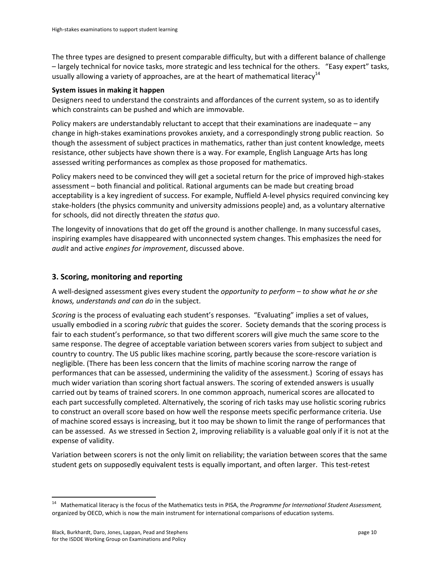The three types are designed to present comparable difficulty, but with a different balance of challenge - largely technical for novice tasks, more strategic and less technical for the others. "Easy expert" tasks, usually allowing a variety of approaches, are at the heart of mathematical literacy<sup>14</sup>

### **System issues in making it happen**

Designers need to understand the constraints and affordances of the current system, so as to identify which constraints can be pushed and which are immovable.

Policy makers are understandably reluctant to accept that their examinations are inadequate – any change in high-stakes examinations provokes anxiety, and a correspondingly strong public reaction. So though the assessment of subject practices in mathematics, rather than just content knowledge, meets resistance, other subjects have shown there is a way. For example, English Language Arts has long assessed writing performances as complex as those proposed for mathematics.

Policy makers need to be convinced they will get a societal return for the price of improved high-stakes assessment - both financial and political. Rational arguments can be made but creating broad acceptability is a key ingredient of success. For example, Nuffield A-level physics required convincing key stake-holders (the physics community and university admissions people) and, as a voluntary alternative for schools, did not directly threaten the *status quo*.

The longevity of innovations that do get off the ground is another challenge. In many successful cases, inspiring examples have disappeared with unconnected system changes. This emphasizes the need for *audit* and active *engines for improvement*, discussed above.

## **3. Scoring, monitoring and reporting**

A well-designed assessment gives every student the *opportunity to perform – to show what he or she knows, understands and can do in the subject.* 

*Scoring* is the process of evaluating each student's responses. "Evaluating" implies a set of values, usually embodied in a scoring *rubric* that guides the scorer. Society demands that the scoring process is fair to each student's performance, so that two different scorers will give much the same score to the same response. The degree of acceptable variation between scorers varies from subject to subject and country to country. The US public likes machine scoring, partly because the score-rescore variation is negligible. (There has been less concern that the limits of machine scoring narrow the range of performances that can be assessed, undermining the validity of the assessment.) Scoring of essays has much wider variation than scoring short factual answers. The scoring of extended answers is usually carried out by teams of trained scorers. In one common approach, numerical scores are allocated to each part successfully completed. Alternatively, the scoring of rich tasks may use holistic scoring rubrics to construct an overall score based on how well the response meets specific performance criteria. Use of machine scored essays is increasing, but it too may be shown to limit the range of performances that can be assessed. As we stressed in Section 2, improving reliability is a valuable goal only if it is not at the expense of validity.

Variation between scorers is not the only limit on reliability; the variation between scores that the same student gets on supposedly equivalent tests is equally important, and often larger. This test-retest

<sup>&</sup>lt;sup>14</sup> Mathematical literacy is the focus of the Mathematics tests in PISA, the *Programme for International Student Assessment*, organized by OECD, which is now the main instrument for international comparisons of education systems.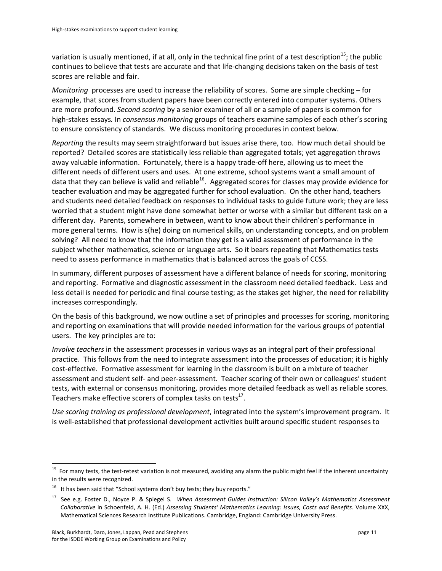variation is usually mentioned, if at all, only in the technical fine print of a test description<sup>15</sup>; the public continues to believe that tests are accurate and that life-changing decisions taken on the basis of test scores are reliable and fair.

*Monitoring* processes are used to increase the reliability of scores. Some are simple checking – for example, that scores from student papers have been correctly entered into computer systems. Others are more profound. *Second scoring* by a senior examiner of all or a sample of papers is common for high-stakes essays. In *consensus monitoring* groups of teachers examine samples of each other's scoring to ensure consistency of standards. We discuss monitoring procedures in context below.

*Reporting* the results may seem straightforward but issues arise there, too. How much detail should be reported? Detailed scores are statistically less reliable than aggregated totals; yet aggregation throws away valuable information. Fortunately, there is a happy trade-off here, allowing us to meet the different needs of different users and uses. At one extreme, school systems want a small amount of data that they can believe is valid and reliable<sup>16</sup>. Aggregated scores for classes may provide evidence for teacher evaluation and may be aggregated further for school evaluation. On the other hand, teachers and students need detailed feedback on responses to individual tasks to guide future work; they are less worried that a student might have done somewhat better or worse with a similar but different task on a different day. Parents, somewhere in between, want to know about their children's performance in more general terms. How is s(he) doing on numerical skills, on understanding concepts, and on problem solving? All need to know that the information they get is a valid assessment of performance in the subject whether mathematics, science or language arts. So it bears repeating that Mathematics tests need to assess performance in mathematics that is balanced across the goals of CCSS.

In summary, different purposes of assessment have a different balance of needs for scoring, monitoring and reporting. Formative and diagnostic assessment in the classroom need detailed feedback. Less and less detail is needed for periodic and final course testing; as the stakes get higher, the need for reliability increases correspondingly.

On the basis of this background, we now outline a set of principles and processes for scoring, monitoring and reporting on examinations that will provide needed information for the various groups of potential users. The key principles are to:

*Involve teachers* in the assessment processes in various ways as an integral part of their professional practice. This follows from the need to integrate assessment into the processes of education; it is highly cost-effective. Formative assessment for learning in the classroom is built on a mixture of teacher assessment and student self- and peer-assessment. Teacher scoring of their own or colleagues' student tests, with external or consensus monitoring, provides more detailed feedback as well as reliable scores. Teachers make effective scorers of complex tasks on tests<sup>17</sup>.

Use scoring training as professional development, integrated into the system's improvement program. It is well-established that professional development activities built around specific student responses to

<sup>&</sup>lt;sup>15</sup> For many tests, the test-retest variation is not measured, avoiding any alarm the public might feel if the inherent uncertainty in the results were recognized.

 $16$  It has been said that "School systems don't buy tests; they buy reports."

See e.g. Foster D., Noyce P. & Spiegel S. When Assessment Guides Instruction: Silicon Valley's Mathematics Assessment *Collaborative* in Schoenfeld, A. H. (Ed.) *Assessing Students' Mathematics Learning: Issues, Costs and Benefits*. Volume XXX, Mathematical Sciences Research Institute Publications. Cambridge, England: Cambridge University Press.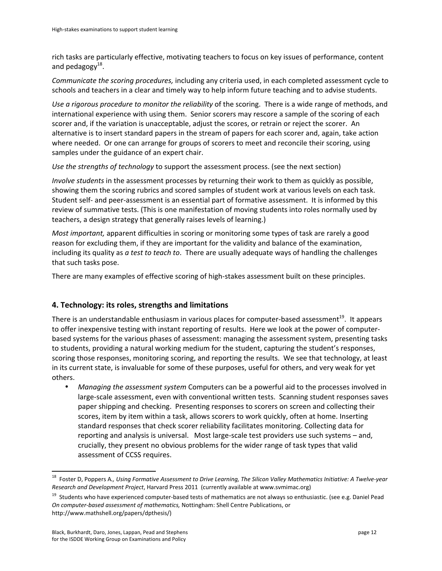rich tasks are particularly effective, motivating teachers to focus on key issues of performance, content and pedagogy $^{18}$ .

*Communicate the scoring procedures,* including any criteria used, in each completed assessment cycle to schools and teachers in a clear and timely way to help inform future teaching and to advise students.

*Use a rigorous procedure to monitor the reliability* of the scoring. There is a wide range of methods, and international experience with using them. Senior scorers may rescore a sample of the scoring of each scorer and, if the variation is unacceptable, adjust the scores, or retrain or reject the scorer. An alternative is to insert standard papers in the stream of papers for each scorer and, again, take action where needed. Or one can arrange for groups of scorers to meet and reconcile their scoring, using samples under the guidance of an expert chair.

*Use the strengths of technology* to support the assessment process. (see the next section)

*Involve students* in the assessment processes by returning their work to them as quickly as possible, showing them the scoring rubrics and scored samples of student work at various levels on each task. Student self- and peer-assessment is an essential part of formative assessment. It is informed by this review of summative tests. (This is one manifestation of moving students into roles normally used by teachers, a design strategy that generally raises levels of learning.)

*Most important,* apparent difficulties in scoring or monitoring some types of task are rarely a good reason for excluding them, if they are important for the validity and balance of the examination, including its quality as *a test to teach to*. There are usually adequate ways of handling the challenges that such tasks pose.

There are many examples of effective scoring of high-stakes assessment built on these principles.

## **4. Technology: its roles, strengths and limitations**

There is an understandable enthusiasm in various places for computer-based assessment<sup>19</sup>. It appears to offer inexpensive testing with instant reporting of results. Here we look at the power of computerbased systems for the various phases of assessment: managing the assessment system, presenting tasks to students, providing a natural working medium for the student, capturing the student's responses, scoring those responses, monitoring scoring, and reporting the results. We see that technology, at least in its current state, is invaluable for some of these purposes, useful for others, and very weak for yet others.

*Managing the assessment system* Computers can be a powerful aid to the processes involved in large-scale assessment, even with conventional written tests. Scanning student responses saves paper shipping and checking. Presenting responses to scorers on screen and collecting their scores, item by item within a task, allows scorers to work quickly, often at home. Inserting standard responses that check scorer reliability facilitates monitoring. Collecting data for reporting and analysis is universal. Most large-scale test providers use such systems – and, crucially, they present no obvious problems for the wider range of task types that valid assessment of CCSS requires.

<sup>&</sup>lt;sup>18</sup> Foster D, Poppers A., Using Formative Assessment to Drive Learning, The Silicon Valley Mathematics Initiative: A Twelve-year *Research and Development Project*, Harvard Press 2011 (currently available at www.svmimac.org)

<sup>&</sup>lt;sup>19</sup> Students who have experienced computer-based tests of mathematics are not always so enthusiastic. (see e.g. Daniel Pead *On computer-based assessment of mathematics, Nottingham: Shell Centre Publications, or* http://www.mathshell.org/papers/dpthesis/)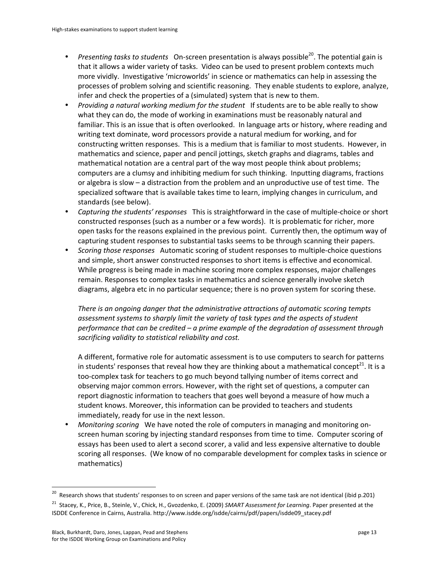- *Presenting tasks to students* On-screen presentation is always possible<sup>20</sup>. The potential gain is that it allows a wider variety of tasks. Video can be used to present problem contexts much more vividly. Investigative 'microworlds' in science or mathematics can help in assessing the processes of problem solving and scientific reasoning. They enable students to explore, analyze, infer and check the properties of a (simulated) system that is new to them.
- Providing a natural working medium for the student If students are to be able really to show what they can do, the mode of working in examinations must be reasonably natural and familiar. This is an issue that is often overlooked. In language arts or history, where reading and writing text dominate, word processors provide a natural medium for working, and for constructing written responses. This is a medium that is familiar to most students. However, in mathematics and science, paper and pencil jottings, sketch graphs and diagrams, tables and mathematical notation are a central part of the way most people think about problems; computers are a clumsy and inhibiting medium for such thinking. Inputting diagrams, fractions or algebra is slow – a distraction from the problem and an unproductive use of test time. The specialized software that is available takes time to learn, implying changes in curriculum, and standards (see below).
- *Capturing the students' responses* This is straightforward in the case of multiple-choice or short constructed responses (such as a number or a few words). It is problematic for richer, more open tasks for the reasons explained in the previous point. Currently then, the optimum way of capturing student responses to substantial tasks seems to be through scanning their papers.
- **Scoring those responses** Automatic scoring of student responses to multiple-choice questions and simple, short answer constructed responses to short items is effective and economical. While progress is being made in machine scoring more complex responses, major challenges remain. Responses to complex tasks in mathematics and science generally involve sketch diagrams, algebra etc in no particular sequence; there is no proven system for scoring these.

There is an ongoing danger that the administrative attractions of automatic scoring tempts *assessment\*systems\*to\*sharply\*limit\*the\*variety\*of\*task\*types\*and\*the\*aspects\*of\*student\** performance that can be credited – a prime example of the degradation of assessment through sacrificing validity to statistical reliability and cost.

A different, formative role for automatic assessment is to use computers to search for patterns in students' responses that reveal how they are thinking about a mathematical concept<sup>21</sup>. It is a too-complex task for teachers to go much beyond tallying number of items correct and observing major common errors. However, with the right set of questions, a computer can report diagnostic information to teachers that goes well beyond a measure of how much a student knows. Moreover, this information can be provided to teachers and students immediately, ready for use in the next lesson.

*Monitoring scoring* We have noted the role of computers in managing and monitoring onscreen human scoring by injecting standard responses from time to time. Computer scoring of essays has been used to alert a second scorer, a valid and less expensive alternative to double scoring all responses. (We know of no comparable development for complex tasks in science or mathematics)

<sup>&</sup>lt;sup>20</sup> Research shows that students' responses to on screen and paper versions of the same task are not identical (ibid p.201)

<sup>&</sup>lt;sup>21</sup> Stacey, K., Price, B., Steinle, V., Chick, H., Gvozdenko, E. (2009) SMART Assessment for Learning. Paper presented at the ISDDE Conference in Cairns, Australia. http://www.isdde.org/isdde/cairns/pdf/papers/isdde09\_stacey.pdf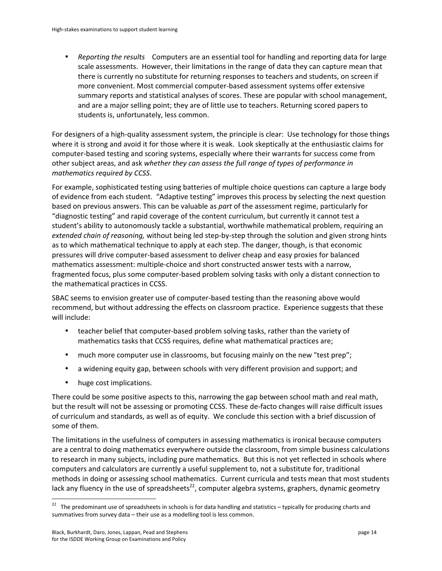• *Reporting the results* Computers are an essential tool for handling and reporting data for large scale assessments. However, their limitations in the range of data they can capture mean that there is currently no substitute for returning responses to teachers and students, on screen if more convenient. Most commercial computer-based assessment systems offer extensive summary reports and statistical analyses of scores. These are popular with school management, and are a major selling point; they are of little use to teachers. Returning scored papers to students is, unfortunately, less common.

For designers of a high-quality assessment system, the principle is clear: Use technology for those things where it is strong and avoid it for those where it is weak. Look skeptically at the enthusiastic claims for computer-based testing and scoring systems, especially where their warrants for success come from other subject areas, and ask *whether they can assess the full range of types of performance in mathematics required by CCSS.* 

For example, sophisticated testing using batteries of multiple choice questions can capture a large body of evidence from each student. "Adaptive testing" improves this process by selecting the next question based on previous answers. This can be valuable as *part* of the assessment regime, particularly for "diagnostic testing" and rapid coverage of the content curriculum, but currently it cannot test a student's ability to autonomously tackle a substantial, worthwhile mathematical problem, requiring an *extended chain of reasoning,* without being led step-by-step through the solution and given strong hints as to which mathematical technique to apply at each step. The danger, though, is that economic pressures will drive computer-based assessment to deliver cheap and easy proxies for balanced mathematics assessment: multiple-choice and short constructed answer tests with a narrow, fragmented focus, plus some computer-based problem solving tasks with only a distant connection to the mathematical practices in CCSS.

SBAC seems to envision greater use of computer-based testing than the reasoning above would recommend, but without addressing the effects on classroom practice. Experience suggests that these will include:

- teacher belief that computer-based problem solving tasks, rather than the variety of mathematics tasks that CCSS requires, define what mathematical practices are;
- much more computer use in classrooms, but focusing mainly on the new "test prep";
- a widening equity gap, between schools with very different provision and support; and
- huge cost implications.

There could be some positive aspects to this, narrowing the gap between school math and real math, but the result will not be assessing or promoting CCSS. These de-facto changes will raise difficult issues of curriculum and standards, as well as of equity. We conclude this section with a brief discussion of some of them.

The limitations in the usefulness of computers in assessing mathematics is ironical because computers are a central to doing mathematics everywhere outside the classroom, from simple business calculations to research in many subjects, including pure mathematics. But this is not yet reflected in schools where computers and calculators are currently a useful supplement to, not a substitute for, traditional methods in doing or assessing school mathematics. Current curricula and tests mean that most students lack any fluency in the use of spreadsheets<sup>22</sup>, computer algebra systems, graphers, dynamic geometry

<sup>&</sup>lt;sup>22</sup> The predominant use of spreadsheets in schools is for data handling and statistics – typically for producing charts and summatives from survey data – their use as a modelling tool is less common.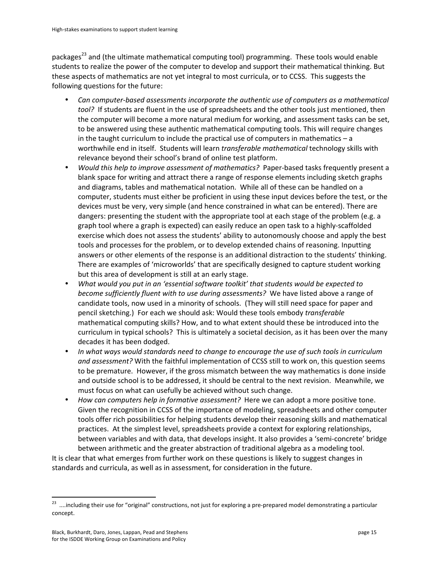packages<sup>23</sup> and (the ultimate mathematical computing tool) programming. These tools would enable students to realize the power of the computer to develop and support their mathematical thinking. But these aspects of mathematics are not yet integral to most curricula, or to CCSS. This suggests the following questions for the future:

- Can computer-based assessments incorporate the authentic use of computers as a mathematical *tool?* If students are fluent in the use of spreadsheets and the other tools just mentioned, then the computer will become a more natural medium for working, and assessment tasks can be set, to be answered using these authentic mathematical computing tools. This will require changes in the taught curriculum to include the practical use of computers in mathematics  $-a$ worthwhile end in itself. Students will learn *transferable mathematical* technology skills with relevance beyond their school's brand of online test platform.
- *Would this help to improve assessment of mathematics?* Paper-based tasks frequently present a blank space for writing and attract there a range of response elements including sketch graphs and diagrams, tables and mathematical notation. While all of these can be handled on a computer, students must either be proficient in using these input devices before the test, or the devices must be very, very simple (and hence constrained in what can be entered). There are dangers: presenting the student with the appropriate tool at each stage of the problem (e.g. a graph tool where a graph is expected) can easily reduce an open task to a highly-scaffolded exercise which does not assess the students' ability to autonomously choose and apply the best tools and processes for the problem, or to develop extended chains of reasoning. Inputting answers or other elements of the response is an additional distraction to the students' thinking. There are examples of 'microworlds' that are specifically designed to capture student working but this area of development is still at an early stage.
- What would you put in an 'essential software toolkit' that students would be expected to *become sufficiently fluent with to use during assessments?* We have listed above a range of candidate tools, now used in a minority of schools. (They will still need space for paper and pencil sketching.) For each we should ask: Would these tools embody *transferable* mathematical computing skills? How, and to what extent should these be introduced into the curriculum in typical schools? This is ultimately a societal decision, as it has been over the many decades it has been dodged.
- In what ways would standards need to change to encourage the use of such tools in curriculum and assessment? With the faithful implementation of CCSS still to work on, this question seems to be premature. However, if the gross mismatch between the way mathematics is done inside and outside school is to be addressed, it should be central to the next revision. Meanwhile, we must focus on what can usefully be achieved without such change.
- *How can computers help in formative assessment?* Here we can adopt a more positive tone. Given the recognition in CCSS of the importance of modeling, spreadsheets and other computer tools offer rich possibilities for helping students develop their reasoning skills and mathematical practices. At the simplest level, spreadsheets provide a context for exploring relationships, between variables and with data, that develops insight. It also provides a 'semi-concrete' bridge between arithmetic and the greater abstraction of traditional algebra as a modeling tool.

It is clear that what emerges from further work on these questions is likely to suggest changes in standards and curricula, as well as in assessment, for consideration in the future.

<sup>&</sup>lt;sup>23</sup> ....including their use for "original" constructions, not just for exploring a pre-prepared model demonstrating a particular concept.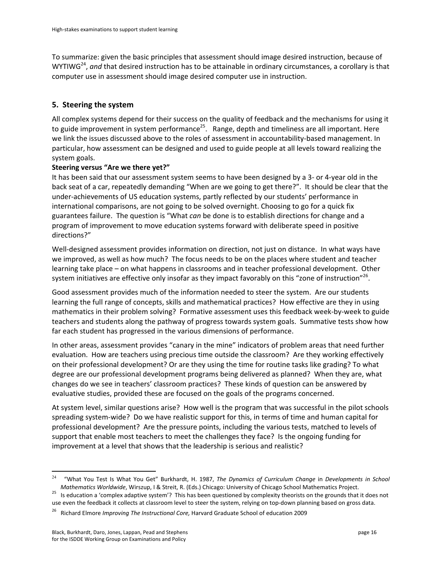To summarize: given the basic principles that assessment should image desired instruction, because of WYTIWG<sup>24</sup>, and that desired instruction has to be attainable in ordinary circumstances, a corollary is that computer use in assessment should image desired computer use in instruction.

## **5. Steering the system**

All complex systems depend for their success on the quality of feedback and the mechanisms for using it to guide improvement in system performance<sup>25</sup>. Range, depth and timeliness are all important. Here we link the issues discussed above to the roles of assessment in accountability-based management. In particular, how assessment can be designed and used to guide people at all levels toward realizing the system goals.

### **Steering versus "Are we there yet?"**

It has been said that our assessment system seems to have been designed by a 3- or 4-year old in the back seat of a car, repeatedly demanding "When are we going to get there?". It should be clear that the under-achievements of US education systems, partly reflected by our students' performance in international comparisons, are not going to be solved overnight. Choosing to go for a quick fix guarantees failure. The question is "What *can* be done is to establish directions for change and a program of improvement to move education systems forward with deliberate speed in positive directions?"

Well-designed assessment provides information on direction, not just on distance. In what ways have we improved, as well as how much? The focus needs to be on the places where student and teacher learning take place – on what happens in classrooms and in teacher professional development. Other system initiatives are effective only insofar as they impact favorably on this "zone of instruction"<sup>26</sup>.

Good assessment provides much of the information needed to steer the system. Are our students learning the full range of concepts, skills and mathematical practices? How effective are they in using mathematics in their problem solving? Formative assessment uses this feedback week-by-week to guide teachers and students along the pathway of progress towards system goals. Summative tests show how far each student has progressed in the various dimensions of performance.

In other areas, assessment provides "canary in the mine" indicators of problem areas that need further evaluation. How are teachers using precious time outside the classroom? Are they working effectively on their professional development? Or are they using the time for routine tasks like grading? To what degree are our professional development programs being delivered as planned? When they are, what changes do we see in teachers' classroom practices? These kinds of question can be answered by evaluative studies, provided these are focused on the goals of the programs concerned.

At system level, similar questions arise? How well is the program that was successful in the pilot schools spreading system-wide? Do we have realistic support for this, in terms of time and human capital for professional development? Are the pressure points, including the various tests, matched to levels of support that enable most teachers to meet the challenges they face? Is the ongoing funding for improvement at a level that shows that the leadership is serious and realistic?

<sup>!!!!!!!!!!!!!!!!!!!!!!!!!!!!!!!!!!!!!!!!!!!!!!!!!!!!!!!!!!!</sup> <sup>24</sup> "What You Test Is What You Get" Burkhardt, H. 1987, The Dynamics of Curriculum Change in Developments in School

Mathematics Worldwide, Wirszup, I & Streit, R. (Eds.) Chicago: University of Chicago School Mathematics Project.<br><sup>25</sup> Is education a 'complex adaptive system'? This has been questioned by complexity theorists on the ground use even the feedback it collects at classroom level to steer the system, relying on top-down planning based on gross data.

<sup>26!!!</sup>Richard!Elmore*\*Improving\*The\*Instructional\*Core,\**Harvard!Graduate!School!of!education!2009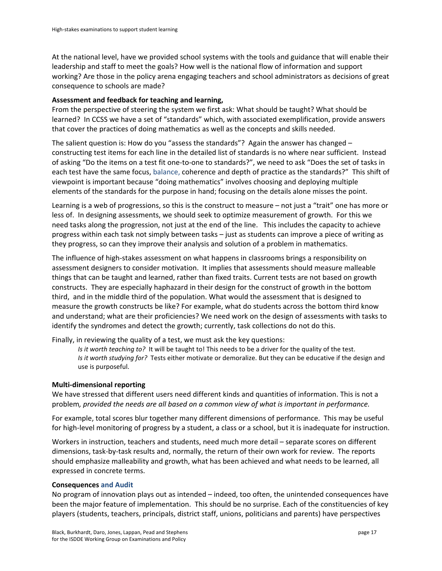At the national level, have we provided school systems with the tools and guidance that will enable their leadership and staff to meet the goals? How well is the national flow of information and support working? Are those in the policy arena engaging teachers and school administrators as decisions of great consequence to schools are made?

### Assessment and feedback for teaching and learning,

From the perspective of steering the system we first ask: What should be taught? What should be learned? In CCSS we have a set of "standards" which, with associated exemplification, provide answers that cover the practices of doing mathematics as well as the concepts and skills needed.

The salient question is: How do you "assess the standards"? Again the answer has changed – constructing test items for each line in the detailed list of standards is no where near sufficient. Instead of asking "Do the items on a test fit one-to-one to standards?", we need to ask "Does the set of tasks in each test have the same focus, balance, coherence and depth of practice as the standards?" This shift of viewpoint is important because "doing mathematics" involves choosing and deploying multiple elements of the standards for the purpose in hand; focusing on the details alone misses the point.

Learning is a web of progressions, so this is the construct to measure – not just a "trait" one has more or less of. In designing assessments, we should seek to optimize measurement of growth. For this we need tasks along the progression, not just at the end of the line. This includes the capacity to achieve progress within each task not simply between tasks – just as students can improve a piece of writing as they progress, so can they improve their analysis and solution of a problem in mathematics.

The influence of high-stakes assessment on what happens in classrooms brings a responsibility on assessment designers to consider motivation. It implies that assessments should measure malleable things that can be taught and learned, rather than fixed traits. Current tests are not based on growth constructs. They are especially haphazard in their design for the construct of growth in the bottom third, and in the middle third of the population. What would the assessment that is designed to measure the growth constructs be like? For example, what do students across the bottom third know and understand; what are their proficiencies? We need work on the design of assessments with tasks to identify the syndromes and detect the growth; currently, task collections do not do this.

Finally, in reviewing the quality of a test, we must ask the key questions:

*Is it worth teaching to?* It will be taught to! This needs to be a driver for the quality of the test. *Is it worth studying for?* Tests either motivate or demoralize. But they can be educative if the design and use is purposeful.

### **Multi-dimensional reporting**

We have stressed that different users need different kinds and quantities of information. This is not a problem, provided the needs are all based on a common view of what is important in performance.

For example, total scores blur together many different dimensions of performance. This may be useful for high-level monitoring of progress by a student, a class or a school, but it is inadequate for instruction.

Workers in instruction, teachers and students, need much more detail – separate scores on different dimensions, task-by-task results and, normally, the return of their own work for review. The reports should emphasize malleability and growth, what has been achieved and what needs to be learned, all expressed in concrete terms.

#### **Consequences and Audit**

No program of innovation plays out as intended – indeed, too often, the unintended consequences have been the major feature of implementation. This should be no surprise. Each of the constituencies of key players (students, teachers, principals, district staff, unions, politicians and parents) have perspectives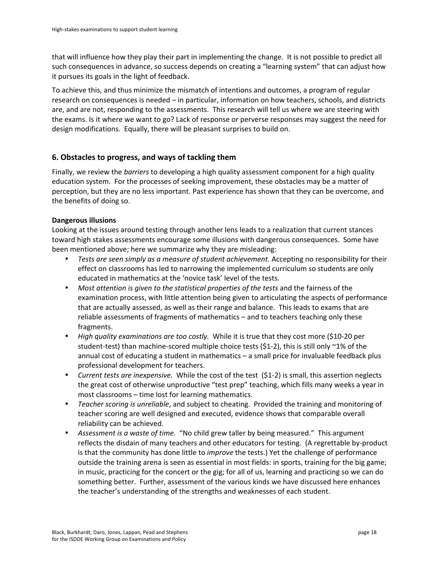that will influence how they play their part in implementing the change. It is not possible to predict all such consequences in advance, so success depends on creating a "learning system" that can adjust how it pursues its goals in the light of feedback.

To achieve this, and thus minimize the mismatch of intentions and outcomes, a program of regular research on consequences is needed – in particular, information on how teachers, schools, and districts are, and are not, responding to the assessments. This research will tell us where we are steering with the exams. Is it where we want to go? Lack of response or perverse responses may suggest the need for design modifications. Equally, there will be pleasant surprises to build on.

## **6. Obstacles to progress, and ways of tackling them**

Finally, we review the *barriers* to developing a high quality assessment component for a high quality education system. For the processes of seeking improvement, these obstacles may be a matter of perception, but they are no less important. Past experience has shown that they can be overcome, and the benefits of doing so.

### **Dangerous illusions**

Looking at the issues around testing through another lens leads to a realization that current stances toward high stakes assessments encourage some illusions with dangerous consequences. Some have been mentioned above; here we summarize why they are misleading:

- *Tests are seen simply as a measure of student achievement.* Accepting no responsibility for their effect on classrooms has led to narrowing the implemented curriculum so students are only educated in mathematics at the 'novice task' level of the tests.
- Most attention is given to the statistical properties of the tests and the fairness of the examination process, with little attention being given to articulating the aspects of performance that are actually assessed, as well as their range and balance. This leads to exams that are reliable assessments of fragments of mathematics – and to teachers teaching only these fragments.!
- *High quality examinations are too costly.* While it is true that they cost more (\$10-20 per student-test) than machine-scored multiple choice tests (\$1-2), this is still only ~1% of the annual cost of educating a student in mathematics – a small price for invaluable feedback plus professional development for teachers.
- *Current tests are inexpensive.* While the cost of the test (\$1-2) is small, this assertion neglects the great cost of otherwise unproductive "test prep" teaching, which fills many weeks a year in most classrooms – time lost for learning mathematics.
- *Teacher scoring is unreliable*, and subject to cheating. Provided the training and monitoring of teacher scoring are well designed and executed, evidence shows that comparable overall reliability can be achieved.
- Assessment is a waste of time. "No child grew taller by being measured." This argument reflects the disdain of many teachers and other educators for testing. (A regrettable by-product is that the community has done little to *improve* the tests.) Yet the challenge of performance outside the training arena is seen as essential in most fields: in sports, training for the big game; in music, practicing for the concert or the gig; for all of us, learning and practicing so we can do something better. Further, assessment of the various kinds we have discussed here enhances the teacher's understanding of the strengths and weaknesses of each student.